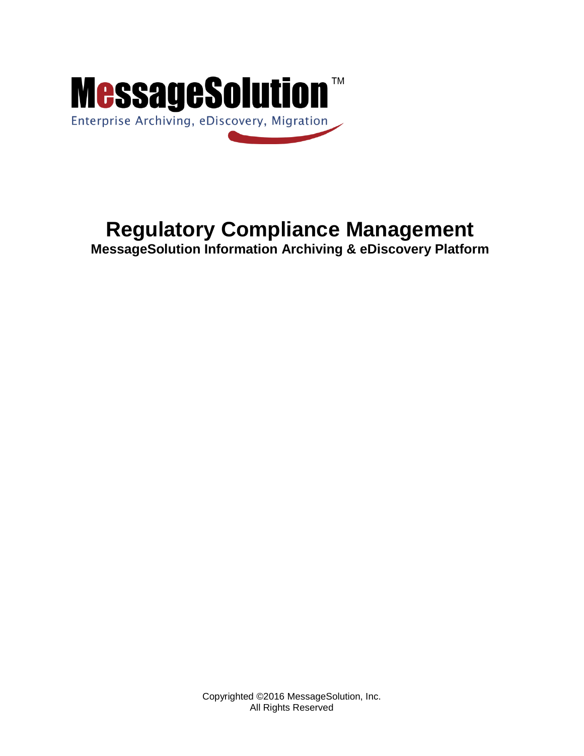

# **Regulatory Compliance Management**

**MessageSolution Information Archiving & eDiscovery Platform**

Copyrighted ©2016 MessageSolution, Inc. All Rights Reserved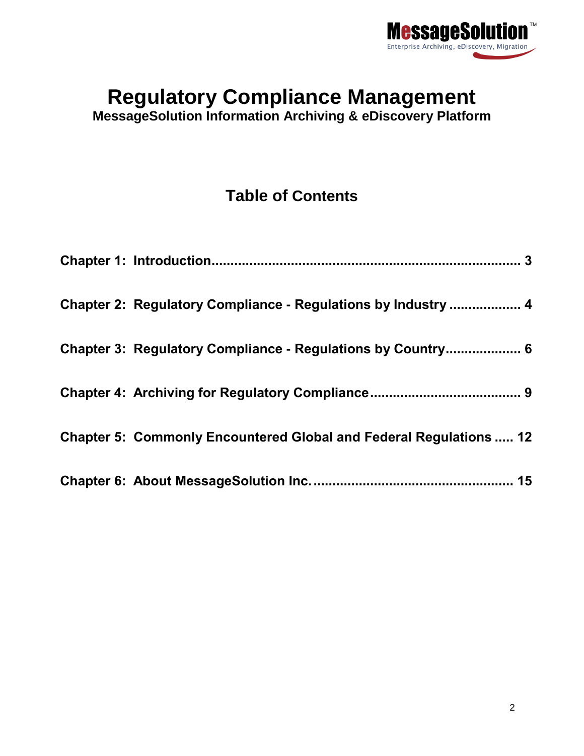

# **Regulatory Compliance Management**

**MessageSolution Information Archiving & eDiscovery Platform**

# **Table of Contents**

| Chapter 2: Regulatory Compliance - Regulations by Industry  4             |
|---------------------------------------------------------------------------|
| Chapter 3: Regulatory Compliance - Regulations by Country 6               |
|                                                                           |
| <b>Chapter 5: Commonly Encountered Global and Federal Regulations  12</b> |
|                                                                           |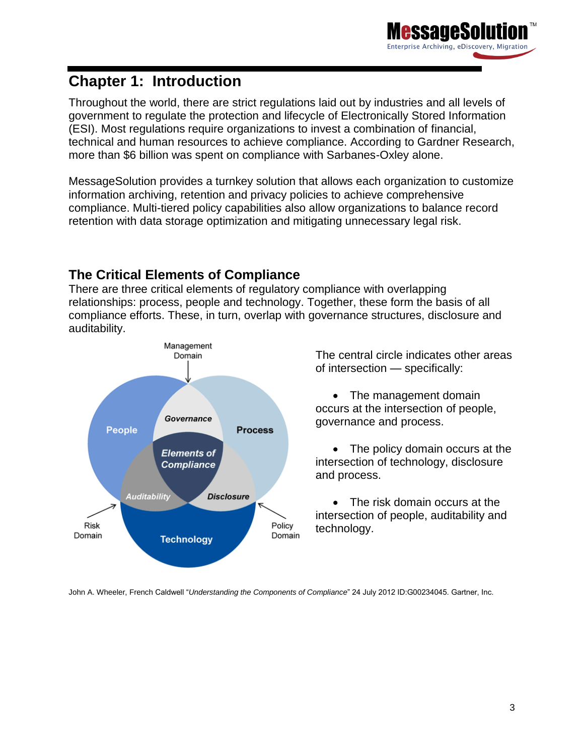# <span id="page-2-0"></span>**Chapter 1: Introduction**

Throughout the world, there are strict regulations laid out by industries and all levels of government to regulate the protection and lifecycle of Electronically Stored Information (ESI). Most regulations require organizations to invest a combination of financial, technical and human resources to achieve compliance. According to Gardner Research, more than \$6 billion was spent on compliance with Sarbanes-Oxley alone.

MessageSolution provides a turnkey solution that allows each organization to customize information archiving, retention and privacy policies to achieve comprehensive compliance. Multi-tiered policy capabilities also allow organizations to balance record retention with data storage optimization and mitigating unnecessary legal risk.

## **The Critical Elements of Compliance**

There are three critical elements of regulatory compliance with overlapping relationships: process, people and technology. Together, these form the basis of all compliance efforts. These, in turn, overlap with governance structures, disclosure and auditability.



The central circle indicates other areas of intersection — specifically:

Enterprise Archiving, eDiscovery, Migration

• The management domain occurs at the intersection of people, governance and process.

 The policy domain occurs at the intersection of technology, disclosure and process.

• The risk domain occurs at the intersection of people, auditability and technology.

<span id="page-2-1"></span>John A. Wheeler, French Caldwell "*Understanding the Components of Compliance*" 24 July 2012 ID:G00234045. Gartner, Inc.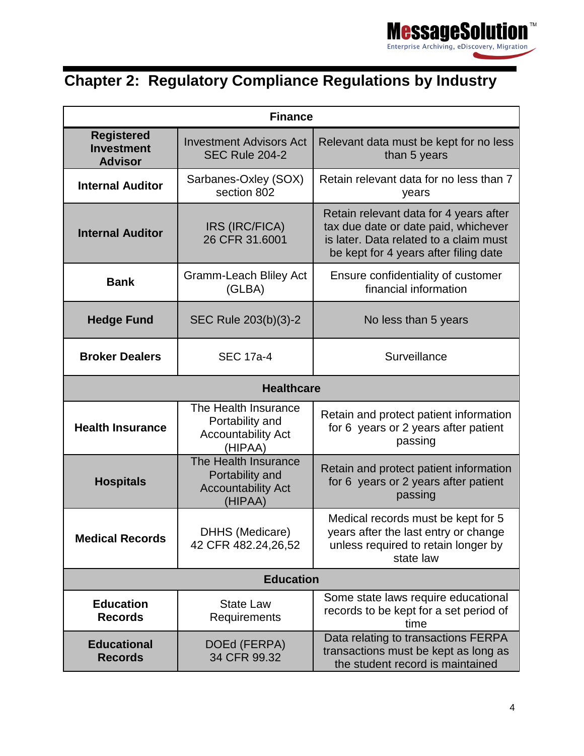

# **Chapter 2: Regulatory Compliance Regulations by Industry**

| <b>Finance</b>                                                       |                                                                                 |                                                                                                                                                                   |  |  |  |  |  |  |
|----------------------------------------------------------------------|---------------------------------------------------------------------------------|-------------------------------------------------------------------------------------------------------------------------------------------------------------------|--|--|--|--|--|--|
| <b>Registered</b><br><b>Investment</b><br><b>Advisor</b>             | <b>Investment Advisors Act</b><br><b>SEC Rule 204-2</b>                         | Relevant data must be kept for no less<br>than 5 years                                                                                                            |  |  |  |  |  |  |
| <b>Internal Auditor</b>                                              | Sarbanes-Oxley (SOX)<br>section 802                                             | Retain relevant data for no less than 7<br>years                                                                                                                  |  |  |  |  |  |  |
| <b>Internal Auditor</b>                                              | IRS (IRC/FICA)<br>26 CFR 31.6001                                                | Retain relevant data for 4 years after<br>tax due date or date paid, whichever<br>is later. Data related to a claim must<br>be kept for 4 years after filing date |  |  |  |  |  |  |
| <b>Bank</b>                                                          | <b>Gramm-Leach Bliley Act</b><br>(GLBA)                                         | Ensure confidentiality of customer<br>financial information                                                                                                       |  |  |  |  |  |  |
| <b>Hedge Fund</b>                                                    | SEC Rule 203(b)(3)-2                                                            | No less than 5 years                                                                                                                                              |  |  |  |  |  |  |
| <b>Broker Dealers</b>                                                | <b>SEC 17a-4</b>                                                                | Surveillance                                                                                                                                                      |  |  |  |  |  |  |
| <b>Healthcare</b>                                                    |                                                                                 |                                                                                                                                                                   |  |  |  |  |  |  |
| <b>Health Insurance</b>                                              | The Health Insurance<br>Portability and<br><b>Accountability Act</b><br>(HIPAA) | Retain and protect patient information<br>for 6 years or 2 years after patient<br>passing                                                                         |  |  |  |  |  |  |
| <b>Hospitals</b>                                                     | The Health Insurance<br>Portability and<br><b>Accountability Act</b><br>(HIPAA) | Retain and protect patient information<br>for 6 years or 2 years after patient<br>passing                                                                         |  |  |  |  |  |  |
| <b>Medical Records</b>                                               | DHHS (Medicare)<br>42 CFR 482.24,26,52                                          | Medical records must be kept for 5<br>years after the last entry or change<br>unless required to retain longer by<br>state law                                    |  |  |  |  |  |  |
|                                                                      | <b>Education</b>                                                                |                                                                                                                                                                   |  |  |  |  |  |  |
| <b>Education</b><br><b>Records</b>                                   | <b>State Law</b><br>Requirements                                                | Some state laws require educational<br>records to be kept for a set period of<br>time                                                                             |  |  |  |  |  |  |
| DOEd (FERPA)<br><b>Educational</b><br>34 CFR 99.32<br><b>Records</b> |                                                                                 | Data relating to transactions FERPA<br>transactions must be kept as long as<br>the student record is maintained                                                   |  |  |  |  |  |  |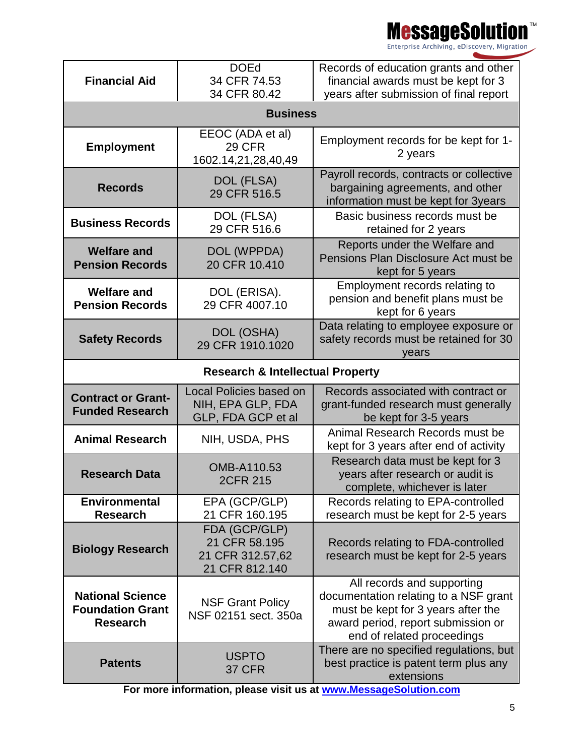<mark>e</mark>ssageSolu Enterprise Archiving, eDiscovery, Migration

**Financial Aid** DOEd 34 CFR 74.53 34 CFR 80.42 Records of education grants and other financial awards must be kept for 3 years after submission of final report **Business Employment** EEOC (ADA et al) 29 CFR 1602.14,21,28,40,49 Employment records for be kept for 1- 2 years **Records** DOL (FLSA) 29 CFR 516.5 Payroll records, contracts or collective bargaining agreements, and other information must be kept for 3years **Business Records** DOL (FLSA) 29 CFR 516.6 Basic business records must be retained for 2 years **Welfare and Pension Records** DOL (WPPDA) 20 CFR 10.410 Reports under the Welfare and Pensions Plan Disclosure Act must be kept for 5 years **Welfare and Pension Records** DOL (ERISA). 29 CFR 4007.10 Employment records relating to pension and benefit plans must be kept for 6 years **Safety Records** DOL (OSHA) 29 CFR 1910.1020 Data relating to employee exposure or safety records must be retained for 30 years **Research & Intellectual Property Contract or Grant-Funded Research** Local Policies based on NIH, EPA GLP, FDA GLP, FDA GCP et al Records associated with contract or grant-funded research must generally be kept for 3-5 years **Animal Research NIH, USDA, PHS** Animal Research Records must be kept for 3 years after end of activity **Research Data OMB-A110.53** 2CFR 215 Research data must be kept for 3 years after research or audit is complete, whichever is later **Environmental Research** EPA (GCP/GLP) 21 CFR 160.195 Records relating to EPA-controlled research must be kept for 2-5 years **Biology Research** FDA (GCP/GLP) 21 CFR 58.195 21 CFR 312.57,62 21 CFR 812.140 Records relating to FDA-controlled research must be kept for 2-5 years **National Science Foundation Grant Research** NSF Grant Policy NSF 02151 sect. 350a All records and supporting documentation relating to a NSF grant must be kept for 3 years after the award period, report submission or end of related proceedings **Patents** USPTO 37 CFR There are no specified regulations, but best practice is patent term plus any extensions

**For more information, please visit us at [www.MessageSolution.com](http://www.messagesolution.com/)**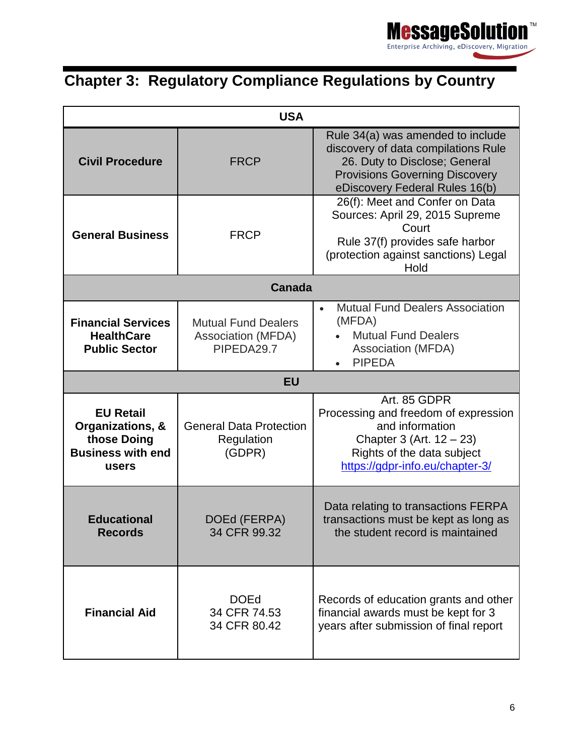

# <span id="page-5-0"></span>**Chapter 3: Regulatory Compliance Regulations by Country**

| <b>USA</b>                                                                               |                                                                |                                                                                                                                                                                      |  |  |  |  |  |  |  |
|------------------------------------------------------------------------------------------|----------------------------------------------------------------|--------------------------------------------------------------------------------------------------------------------------------------------------------------------------------------|--|--|--|--|--|--|--|
| <b>Civil Procedure</b>                                                                   | <b>FRCP</b>                                                    | Rule 34(a) was amended to include<br>discovery of data compilations Rule<br>26. Duty to Disclose; General<br><b>Provisions Governing Discovery</b><br>eDiscovery Federal Rules 16(b) |  |  |  |  |  |  |  |
| <b>General Business</b>                                                                  | <b>FRCP</b>                                                    | 26(f): Meet and Confer on Data<br>Sources: April 29, 2015 Supreme<br>Court<br>Rule 37(f) provides safe harbor<br>(protection against sanctions) Legal<br>Hold                        |  |  |  |  |  |  |  |
|                                                                                          | <b>Canada</b>                                                  |                                                                                                                                                                                      |  |  |  |  |  |  |  |
| <b>Financial Services</b><br><b>HealthCare</b><br><b>Public Sector</b>                   | <b>Mutual Fund Dealers</b><br>Association (MFDA)<br>PIPEDA29.7 | <b>Mutual Fund Dealers Association</b><br>$\bullet$<br>(MFDA)<br><b>Mutual Fund Dealers</b><br>Association (MFDA)<br><b>PIPEDA</b>                                                   |  |  |  |  |  |  |  |
|                                                                                          | <b>EU</b>                                                      |                                                                                                                                                                                      |  |  |  |  |  |  |  |
| <b>EU Retail</b><br>Organizations, &<br>those Doing<br><b>Business with end</b><br>users | <b>General Data Protection</b><br>Regulation<br>(GDPR)         | Art. 85 GDPR<br>Processing and freedom of expression<br>and information<br>Chapter 3 (Art. $12 - 23$ )<br>Rights of the data subject<br>https://gdpr-info.eu/chapter-3/              |  |  |  |  |  |  |  |
| <b>Educational</b><br><b>Records</b>                                                     | DOEd (FERPA)<br>34 CFR 99.32                                   | Data relating to transactions FERPA<br>transactions must be kept as long as<br>the student record is maintained                                                                      |  |  |  |  |  |  |  |
| <b>Financial Aid</b>                                                                     | <b>DOEd</b><br>34 CFR 74.53<br>34 CFR 80.42                    | Records of education grants and other<br>financial awards must be kept for 3<br>years after submission of final report                                                               |  |  |  |  |  |  |  |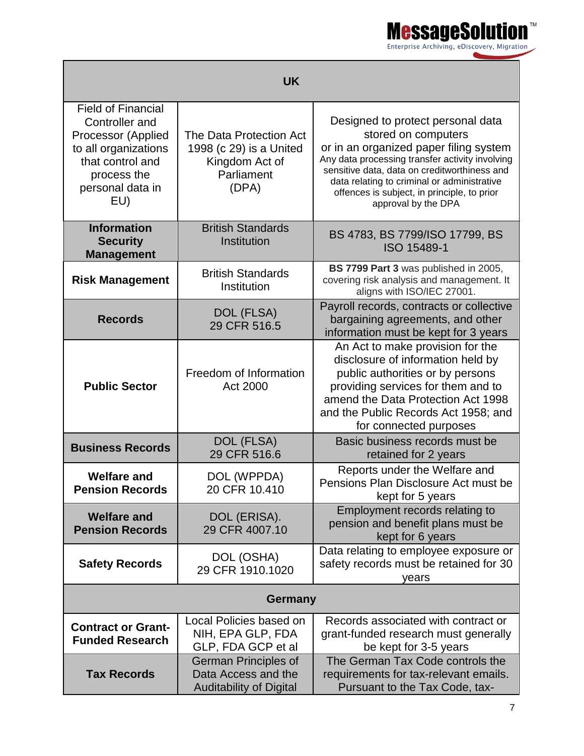

| <b>UK</b>                                                                                                                                               |                                                                                             |                                                                                                                                                                                                                                                                                                                            |  |  |  |  |  |  |
|---------------------------------------------------------------------------------------------------------------------------------------------------------|---------------------------------------------------------------------------------------------|----------------------------------------------------------------------------------------------------------------------------------------------------------------------------------------------------------------------------------------------------------------------------------------------------------------------------|--|--|--|--|--|--|
| <b>Field of Financial</b><br>Controller and<br>Processor (Applied<br>to all organizations<br>that control and<br>process the<br>personal data in<br>EU) | The Data Protection Act<br>1998 (c 29) is a United<br>Kingdom Act of<br>Parliament<br>(DPA) | Designed to protect personal data<br>stored on computers<br>or in an organized paper filing system<br>Any data processing transfer activity involving<br>sensitive data, data on creditworthiness and<br>data relating to criminal or administrative<br>offences is subject, in principle, to prior<br>approval by the DPA |  |  |  |  |  |  |
| <b>Information</b><br><b>Security</b><br><b>Management</b>                                                                                              | <b>British Standards</b><br>Institution                                                     | BS 4783, BS 7799/ISO 17799, BS<br>ISO 15489-1                                                                                                                                                                                                                                                                              |  |  |  |  |  |  |
| <b>Risk Management</b>                                                                                                                                  | <b>British Standards</b><br>Institution                                                     | BS 7799 Part 3 was published in 2005,<br>covering risk analysis and management. It<br>aligns with ISO/IEC 27001.                                                                                                                                                                                                           |  |  |  |  |  |  |
| <b>Records</b>                                                                                                                                          | DOL (FLSA)<br>29 CFR 516.5                                                                  | Payroll records, contracts or collective<br>bargaining agreements, and other<br>information must be kept for 3 years                                                                                                                                                                                                       |  |  |  |  |  |  |
| <b>Public Sector</b>                                                                                                                                    | Freedom of Information<br>Act 2000                                                          | An Act to make provision for the<br>disclosure of information held by<br>public authorities or by persons<br>providing services for them and to<br>amend the Data Protection Act 1998<br>and the Public Records Act 1958; and<br>for connected purposes                                                                    |  |  |  |  |  |  |
| <b>Business Records</b>                                                                                                                                 | DOL (FLSA)<br>29 CFR 516.6                                                                  | Basic business records must be<br>retained for 2 years                                                                                                                                                                                                                                                                     |  |  |  |  |  |  |
| <b>Welfare and</b><br><b>Pension Records</b>                                                                                                            | DOL (WPPDA)<br>20 CFR 10.410                                                                | Reports under the Welfare and<br>Pensions Plan Disclosure Act must be<br>kept for 5 years                                                                                                                                                                                                                                  |  |  |  |  |  |  |
| DOL (ERISA).<br><b>Welfare and</b><br>29 CFR 4007.10<br><b>Pension Records</b>                                                                          |                                                                                             | Employment records relating to<br>pension and benefit plans must be<br>kept for 6 years                                                                                                                                                                                                                                    |  |  |  |  |  |  |
| DOL (OSHA)<br><b>Safety Records</b><br>29 CFR 1910.1020                                                                                                 |                                                                                             | Data relating to employee exposure or<br>safety records must be retained for 30<br>years                                                                                                                                                                                                                                   |  |  |  |  |  |  |
|                                                                                                                                                         | Germany                                                                                     |                                                                                                                                                                                                                                                                                                                            |  |  |  |  |  |  |
| <b>Contract or Grant-</b><br><b>Funded Research</b>                                                                                                     | Local Policies based on<br>NIH, EPA GLP, FDA<br>GLP, FDA GCP et al                          | Records associated with contract or<br>grant-funded research must generally<br>be kept for 3-5 years                                                                                                                                                                                                                       |  |  |  |  |  |  |
| <b>Tax Records</b>                                                                                                                                      | <b>German Principles of</b><br>Data Access and the<br><b>Auditability of Digital</b>        | The German Tax Code controls the<br>requirements for tax-relevant emails.<br>Pursuant to the Tax Code, tax-                                                                                                                                                                                                                |  |  |  |  |  |  |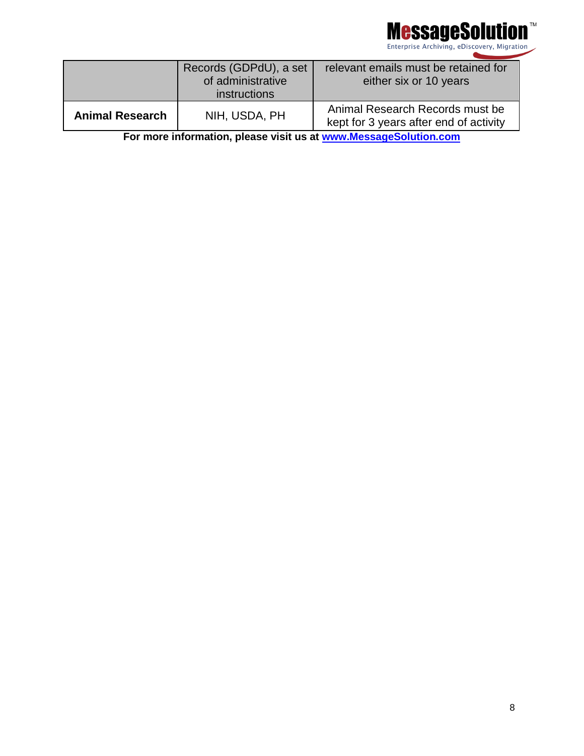

|                        | Records (GDPdU), a set<br>of administrative<br>instructions | relevant emails must be retained for<br>either six or 10 years            |
|------------------------|-------------------------------------------------------------|---------------------------------------------------------------------------|
| <b>Animal Research</b> | NIH, USDA, PH                                               | Animal Research Records must be<br>kept for 3 years after end of activity |

**For more information, please visit us at [www.MessageSolution.com](http://www.messagesolution.com/)**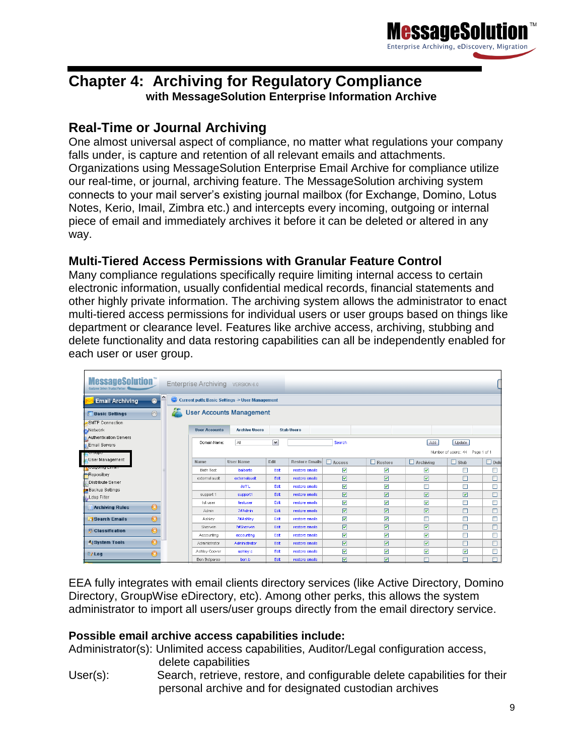

# **Chapter 4: Archiving for Regulatory Compliance with MessageSolution Enterprise Information Archive**

## **Real-Time or Journal Archiving**

One almost universal aspect of compliance, no matter what regulations your company falls under, is capture and retention of all relevant emails and attachments. Organizations using MessageSolution Enterprise Email Archive for compliance utilize our real-time, or journal, archiving feature. The MessageSolution archiving system connects to your mail server's existing journal mailbox (for Exchange, Domino, Lotus Notes, Kerio, Imail, Zimbra etc.) and intercepts every incoming, outgoing or internal piece of email and immediately archives it before it can be deleted or altered in any way.

#### **Multi-Tiered Access Permissions with Granular Feature Control**

Many compliance regulations specifically require limiting internal access to certain electronic information, usually confidential medical records, financial statements and other highly private information. The archiving system allows the administrator to enact multi-tiered access permissions for individual users or user groups based on things like department or clearance level. Features like archive access, archiving, stubbing and delete functionality and data restoring capabilities can all be independently enabled for each user or user group.

| <b>MessageSolution</b><br>Qualtomer Driven Trusted Partne                              | Enterprise Archiving VERSION 6.0 |                      |                         |                   |                         |                |                  |                                  |             |  |  |
|----------------------------------------------------------------------------------------|----------------------------------|----------------------|-------------------------|-------------------|-------------------------|----------------|------------------|----------------------------------|-------------|--|--|
| Current path: Basic Settings -> User Management<br><b>Email Archiving</b><br>$\bullet$ |                                  |                      |                         |                   |                         |                |                  |                                  |             |  |  |
| <b>User Accounts Management</b><br>$\circledcirc$<br><b>Basic Settings</b>             |                                  |                      |                         |                   |                         |                |                  |                                  |             |  |  |
| SMTP Connection<br>Network                                                             | <b>User Accounts</b>             | <b>Archive Users</b> |                         | <b>Stub Users</b> |                         |                |                  |                                  |             |  |  |
| Authentication Servers                                                                 |                                  |                      |                         |                   |                         |                |                  |                                  |             |  |  |
| Email Servers                                                                          | Domain Name:                     | All                  | $\overline{\mathbf{v}}$ |                   | Search                  |                | Add              | Update                           |             |  |  |
| oranno                                                                                 |                                  |                      |                         |                   |                         |                |                  | Number of users:: 44 Page 1 of 1 |             |  |  |
| User Management                                                                        | Name                             | <b>User Name</b>     | Edit                    | Restore Emails    | Access                  | $\Box$ Restore | $\Box$ Archiving | $\Box$ Stub                      | $\Box$ Dele |  |  |
| <b>Outrolling Emiss</b>                                                                | <b>Beth Test</b>                 | balberts             | Edit                    | restore emails    | $\overline{\mathbf{v}}$ | ▽              | 罓                | □                                | □           |  |  |
| Repository                                                                             | external audit                   | externalaudit        | Edit                    | restore emails    | ☑                       | ☑              | 罓                | □                                | $\Box$      |  |  |
| Distribute Server                                                                      |                                  | Jeff <sub>L</sub>    | Edit                    | restore emails    | ⊽                       | ⊽              |                  | □                                | П           |  |  |
| Backup Settings                                                                        | support 1                        | support1             | Edit                    | restore emails    | $\triangledown$         | ☑              | ☑                | ☑                                | $\square$   |  |  |
| Ldap Filter                                                                            | tst user                         | testuser             | Edit                    | restore emails    | ▽                       | ☑              | ☑                | $\Box$                           | $\Box$      |  |  |
| $\odot$<br><b>Archiving Rules</b>                                                      | Admin                            | 7#Admin              | Edit                    | restore emails    | ☑                       | ☑              | ☑                | П                                | □           |  |  |
| ❺<br><b>Search Emails</b>                                                              | Ashley                           | 7#Ashley             | Edit                    | restore emails    | $\overline{\mathbf{v}}$ | ▽              | г                | $\Box$                           | $\Box$      |  |  |
| $\odot$<br><b>Classification</b>                                                       | Sherwin                          | 7#Sherwin            | Edit                    | restore emails    | ☑                       | ☑              | ☑                | □                                | О           |  |  |
|                                                                                        | Accounting                       | accounting           | Edit                    | restore emails    | ⊽                       | ⊽              | ☑                | П                                | □           |  |  |
| $\odot$<br>System Tools                                                                | Administrator                    | Administrator        | Edit                    | restore emails    | $\triangledown$         | ☑              | ☑                | □                                | □           |  |  |
| ❺<br><b>图/Log</b>                                                                      | Ashley Coover                    | ashley.c             | Edit                    | restore emails    | ☑                       | ▽              | ▽                | ☑                                | □           |  |  |
|                                                                                        | Ben Betparoo                     | ben.b                | Edit                    | restore emails    | $\triangledown$         | ☑              |                  |                                  | п           |  |  |

EEA fully integrates with email clients directory services (like Active Directory, Domino Directory, GroupWise eDirectory, etc). Among other perks, this allows the system administrator to import all users/user groups directly from the email directory service.

#### **Possible email archive access capabilities include:**

Administrator(s): Unlimited access capabilities, Auditor/Legal configuration access, delete capabilities

User(s): Search, retrieve, restore, and configurable delete capabilities for their personal archive and for designated custodian archives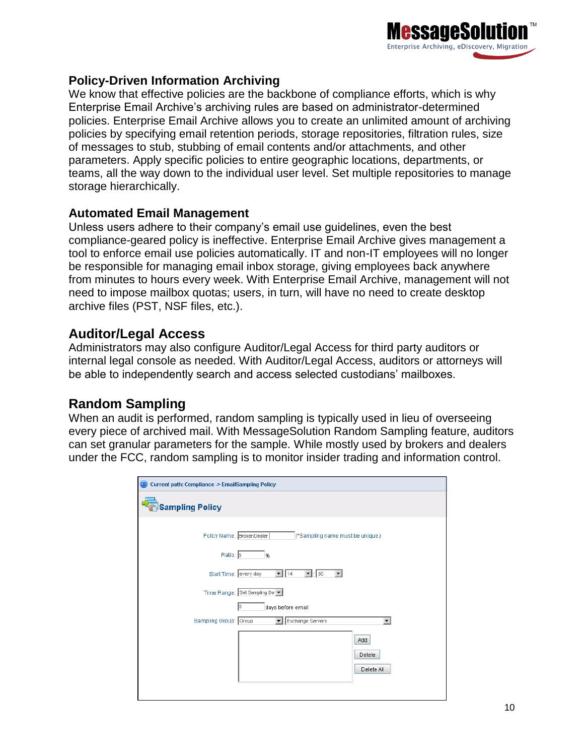

#### **Policy-Driven Information Archiving**

We know that effective policies are the backbone of compliance efforts, which is why Enterprise Email Archive's archiving rules are based on administrator-determined policies. Enterprise Email Archive allows you to create an unlimited amount of archiving policies by specifying email retention periods, storage repositories, filtration rules, size of messages to stub, stubbing of email contents and/or attachments, and other parameters. Apply specific policies to entire geographic locations, departments, or teams, all the way down to the individual user level. Set multiple repositories to manage storage hierarchically.

#### **Automated Email Management**

Unless users adhere to their company's email use guidelines, even the best compliance-geared policy is ineffective. Enterprise Email Archive gives management a tool to enforce email use policies automatically. IT and non-IT employees will no longer be responsible for managing email inbox storage, giving employees back anywhere from minutes to hours every week. With Enterprise Email Archive, management will not need to impose mailbox quotas; users, in turn, will have no need to create desktop archive files (PST, NSF files, etc.).

#### **Auditor/Legal Access**

Administrators may also configure Auditor/Legal Access for third party auditors or internal legal console as needed. With Auditor/Legal Access, auditors or attorneys will be able to independently search and access selected custodians' mailboxes.

### **Random Sampling**

When an audit is performed, random sampling is typically used in lieu of overseeing every piece of archived mail. With MessageSolution Random Sampling feature, auditors can set granular parameters for the sample. While mostly used by brokers and dealers under the FCC, random sampling is to monitor insider trading and information control.

| Current path: Compliance -> EmailSampling Policy<br>$\left( \mathbf{D}\right)$ |  |  |  |  |  |  |  |
|--------------------------------------------------------------------------------|--|--|--|--|--|--|--|
| <b>Sampling Policy</b>                                                         |  |  |  |  |  |  |  |
| Policy Name: Broker/Dealer<br>(*Sampling name must be unique.)                 |  |  |  |  |  |  |  |
| Ratio: 5<br>%                                                                  |  |  |  |  |  |  |  |
| Start Time: every day<br>30<br> 14                                             |  |  |  |  |  |  |  |
| Time Range: Set Sampling Da                                                    |  |  |  |  |  |  |  |
| days before email<br>Iо                                                        |  |  |  |  |  |  |  |
| Sampling Group: Group<br>Exchange Servers<br>$\overline{\phantom{a}}$          |  |  |  |  |  |  |  |
| Add                                                                            |  |  |  |  |  |  |  |
| Delete                                                                         |  |  |  |  |  |  |  |
| Delete All                                                                     |  |  |  |  |  |  |  |
|                                                                                |  |  |  |  |  |  |  |
|                                                                                |  |  |  |  |  |  |  |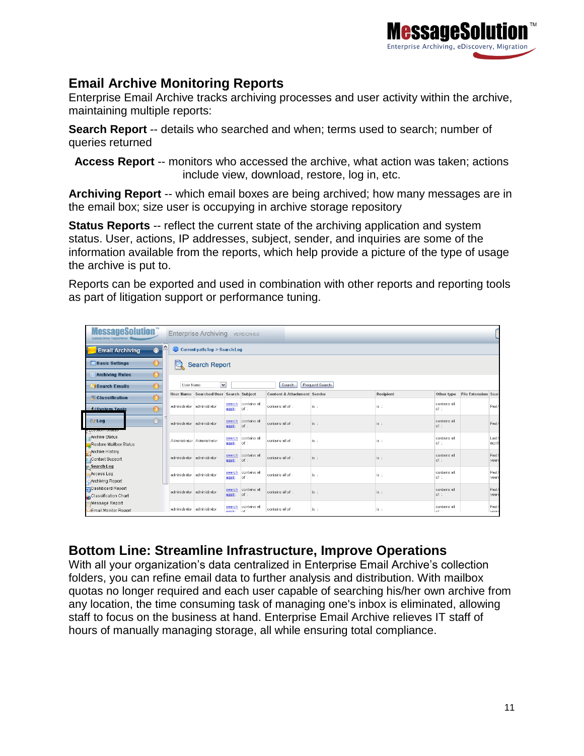

## **Email Archive Monitoring Reports**

Enterprise Email Archive tracks archiving processes and user activity within the archive, maintaining multiple reports:

**Search Report** -- details who searched and when; terms used to search; number of queries returned

**Access Report** -- monitors who accessed the archive, what action was taken; actions include view, download, restore, log in, etc.

**Archiving Report** -- which email boxes are being archived; how many messages are in the email box; size user is occupying in archive storage repository

**Status Reports** -- reflect the current state of the archiving application and system status. User, actions, IP addresses, subject, sender, and inquiries are some of the information available from the reports, which help provide a picture of the type of usage the archive is put to.

Reports can be exported and used in combination with other reports and reporting tools as part of litigation support or performance tuning.

| <b>MessageSolution</b><br>Enterprise Archiving VERSION 6.0<br><b>Quattomer Driven Trusted Partner</b> |                                                        |                                        |                  |                                     |                                        |      |           |                        |                            |                            |
|-------------------------------------------------------------------------------------------------------|--------------------------------------------------------|----------------------------------------|------------------|-------------------------------------|----------------------------------------|------|-----------|------------------------|----------------------------|----------------------------|
| 0<br>Current path: log -> Search Log<br><b>Email Archiving</b><br>$\bullet$                           |                                                        |                                        |                  |                                     |                                        |      |           |                        |                            |                            |
| $\odot$<br><b>Dasic Settings</b><br><b>Search Report</b>                                              |                                                        |                                        |                  |                                     |                                        |      |           |                        |                            |                            |
| $\bullet$<br><b>Archiving Rules</b>                                                                   |                                                        |                                        |                  |                                     |                                        |      |           |                        |                            |                            |
| $\odot$<br><b>Search Emails</b>                                                                       | $\checkmark$<br>User Name<br>Frequent Search<br>Search |                                        |                  |                                     |                                        |      |           |                        |                            |                            |
| $\odot$<br><b>D</b> Classification                                                                    |                                                        | User Name Searched User Search Subject |                  |                                     | <b>Content &amp; Attachment Sender</b> |      | Recipient | Other type             | <b>File Extension Sear</b> |                            |
| $\odot$<br><b>System Tools</b>                                                                        | administrator administrator                            |                                        | aqain            | search contains all<br>$ $ of $\pm$ | contains all of :                      | is : | is :      | contains all<br>of :   |                            | Past                       |
| $^{\circledR}$<br>图/Log                                                                               | administrator administrator                            |                                        | search<br>again  | contains all<br>of :                | contains all of :                      | is : | is :      | contains all<br>of :   |                            | Past                       |
| Archive Status<br>Restore Mailbox Status                                                              |                                                        | Administrator Administrator            | search<br>again  | contains all<br>of:                 | contains all of :                      | is : | lis:      | contains all.<br>of :  |                            | Last <sup>-</sup><br>month |
| Archive History<br>Contact Support<br>Search Log                                                      | administrator administrator                            |                                        | again            | search contains all<br>of :         | contains all of :                      | is : | is:       | contains all<br>of :   |                            | Past<br>year:              |
| Access Log<br>Archiving Report                                                                        | administrator administrator                            |                                        | search<br>aqain  | contains all<br>of :                | contains all of :                      | is : | is:       | contains all<br>of :   |                            | Past<br>year:              |
| Dashboard Report<br>Classification Chart                                                              | administrator administrator                            |                                        | search<br>aqain  | contains all<br>of:                 | contains all of :                      | is : | is :      | contains all<br>of:    |                            | Past<br>years              |
| Message Report<br><b>ZEmail Monitor Report</b>                                                        | administrator administrator                            |                                        | search<br>anain. | contains all<br>l of i              | contains all of :                      | is : | is :      | contains all<br>$nf$ . |                            | Past<br>vears              |

## **Bottom Line: Streamline Infrastructure, Improve Operations**

With all your organization's data centralized in Enterprise Email Archive's collection folders, you can refine email data to further analysis and distribution. With mailbox quotas no longer required and each user capable of searching his/her own archive from any location, the time consuming task of managing one's inbox is eliminated, allowing staff to focus on the business at hand. Enterprise Email Archive relieves IT staff of hours of manually managing storage, all while ensuring total compliance.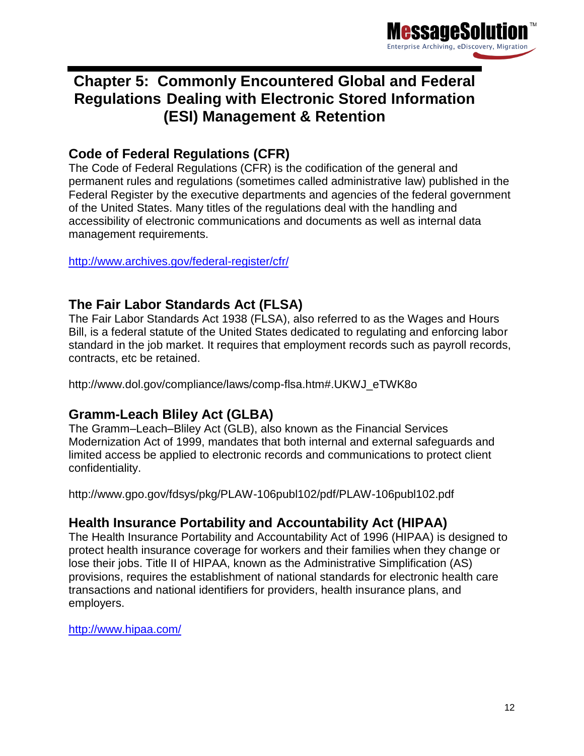

# <span id="page-11-0"></span>**Chapter 5: Commonly Encountered Global and Federal Regulations Dealing with Electronic Stored Information (ESI) Management & Retention**

# **Code of Federal Regulations (CFR)**

The Code of Federal Regulations (CFR) is the codification of the general and permanent rules and regulations (sometimes called administrative law) published in the Federal Register by the executive departments and agencies of the federal government of the United States. Many titles of the regulations deal with the handling and accessibility of electronic communications and documents as well as internal data management requirements.

<http://www.archives.gov/federal-register/cfr/>

### **The Fair Labor Standards Act (FLSA)**

The Fair Labor Standards Act 1938 (FLSA), also referred to as the Wages and Hours Bill, is a federal statute of the United States dedicated to regulating and enforcing labor standard in the job market. It requires that employment records such as payroll records, contracts, etc be retained.

http://www.dol.gov/compliance/laws/comp-flsa.htm#.UKWJ\_eTWK8o

## **Gramm-Leach Bliley Act (GLBA)**

The Gramm–Leach–Bliley Act (GLB), also known as the Financial Services Modernization Act of 1999, mandates that both internal and external safeguards and limited access be applied to electronic records and communications to protect client confidentiality.

http://www.gpo.gov/fdsys/pkg/PLAW-106publ102/pdf/PLAW-106publ102.pdf

## **Health Insurance Portability and Accountability Act (HIPAA)**

The Health Insurance Portability and Accountability Act of 1996 (HIPAA) is designed to protect health insurance coverage for workers and their families when they change or lose their jobs. Title II of HIPAA, known as the Administrative Simplification (AS) provisions, requires the establishment of national standards for electronic health care transactions and national identifiers for providers, health insurance plans, and employers.

<http://www.hipaa.com/>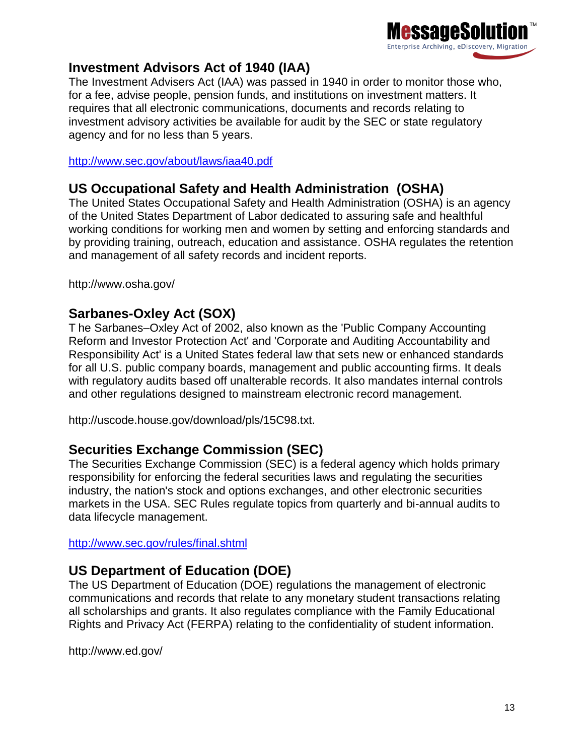

# **Investment Advisors Act of 1940 (IAA)**

The Investment Advisers Act (IAA) was passed in 1940 in order to monitor those who, for a fee, advise people, pension funds, and institutions on investment matters. It requires that all electronic communications, documents and records relating to investment advisory activities be available for audit by the SEC or state regulatory agency and for no less than 5 years.

<http://www.sec.gov/about/laws/iaa40.pdf>

## **US Occupational Safety and Health Administration (OSHA)**

The United States Occupational Safety and Health Administration (OSHA) is an agency of the United States Department of Labor dedicated to assuring safe and healthful working conditions for working men and women by setting and enforcing standards and by providing training, outreach, education and assistance. OSHA regulates the retention and management of all safety records and incident reports.

http://www.osha.gov/

## **Sarbanes-Oxley Act (SOX)**

T he Sarbanes–Oxley Act of 2002, also known as the 'Public Company Accounting Reform and Investor Protection Act' and 'Corporate and Auditing Accountability and Responsibility Act' is a United States federal law that sets new or enhanced standards for all U.S. public company boards, management and public accounting firms. It deals with regulatory audits based off unalterable records. It also mandates internal controls and other regulations designed to mainstream electronic record management.

http://uscode.house.gov/download/pls/15C98.txt.

## **Securities Exchange Commission (SEC)**

The Securities Exchange Commission (SEC) is a federal agency which holds primary responsibility for enforcing the federal securities laws and regulating the securities industry, the nation's stock and options exchanges, and other electronic securities markets in the USA. SEC Rules regulate topics from quarterly and bi-annual audits to data lifecycle management.

<http://www.sec.gov/rules/final.shtml>

# **US Department of Education (DOE)**

The US Department of Education (DOE) regulations the management of electronic communications and records that relate to any monetary student transactions relating all scholarships and grants. It also regulates compliance with the Family Educational Rights and Privacy Act (FERPA) relating to the confidentiality of student information.

http://www.ed.gov/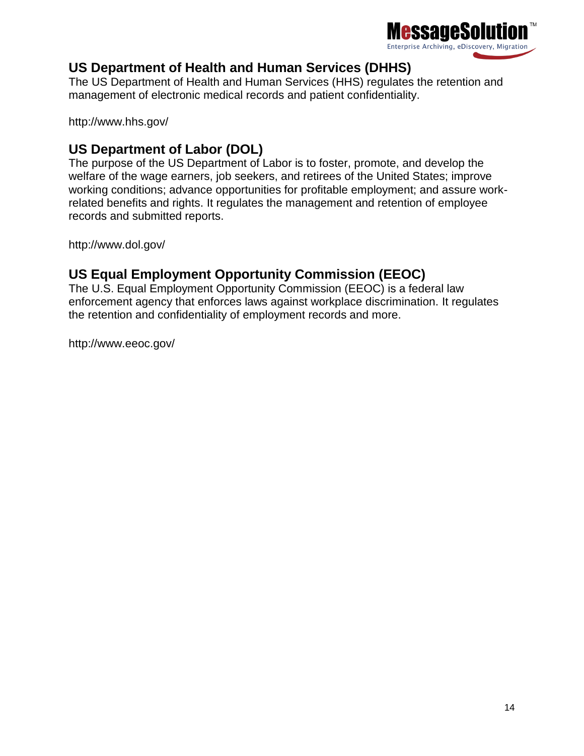

# **US Department of Health and Human Services (DHHS)**

The US Department of Health and Human Services (HHS) regulates the retention and management of electronic medical records and patient confidentiality.

http://www.hhs.gov/

# **US Department of Labor (DOL)**

The purpose of the US Department of Labor is to foster, promote, and develop the welfare of the wage earners, job seekers, and retirees of the United States; improve working conditions; advance opportunities for profitable employment; and assure workrelated benefits and rights. It regulates the management and retention of employee records and submitted reports.

http://www.dol.gov/

# **US Equal Employment Opportunity Commission (EEOC)**

The U.S. Equal Employment Opportunity Commission (EEOC) is a federal law enforcement agency that enforces laws against workplace discrimination. It regulates the retention and confidentiality of employment records and more.

http://www.eeoc.gov/